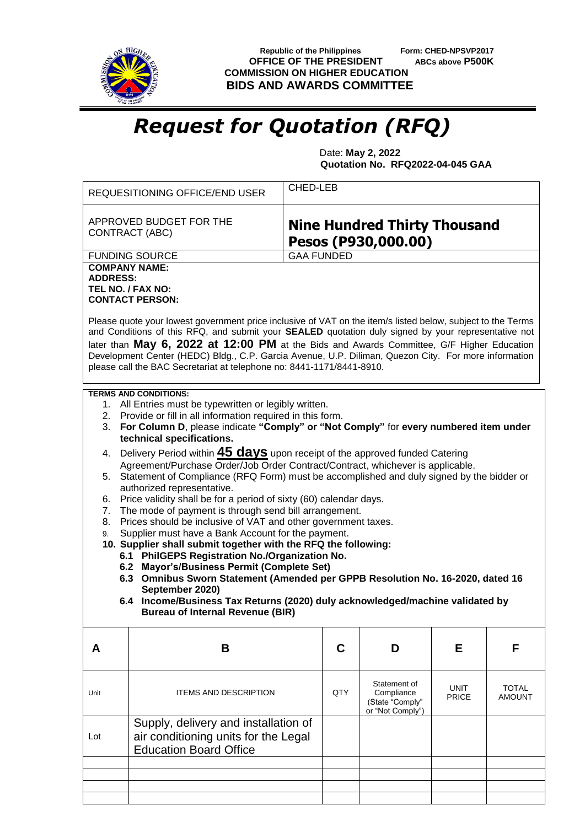

**Republic of the Philippines** Form: CHED-NPSVP2017<br>**FFICE OF THE PRESIDENT** ABCs above P500K **OFFICE OF THE PRESIDENT COMMISSION ON HIGHER EDUCATION BIDS AND AWARDS COMMITTEE**

## *Request for Quotation (RFQ)*

 Date: **May 2, 2022 Quotation No. RFQ2022-04-045 GAA**

|                                                                                                                                                                                                                                                                                                                                                                                                                                                                                                                                                                                                                                                                                                                              | CHED-LEB<br>REQUESITIONING OFFICE/END USER                                                                                                                                                                                                                                                                                                                                                                                                                                                                                   |                   |                                                                   |                      |                               |  |  |  |  |
|------------------------------------------------------------------------------------------------------------------------------------------------------------------------------------------------------------------------------------------------------------------------------------------------------------------------------------------------------------------------------------------------------------------------------------------------------------------------------------------------------------------------------------------------------------------------------------------------------------------------------------------------------------------------------------------------------------------------------|------------------------------------------------------------------------------------------------------------------------------------------------------------------------------------------------------------------------------------------------------------------------------------------------------------------------------------------------------------------------------------------------------------------------------------------------------------------------------------------------------------------------------|-------------------|-------------------------------------------------------------------|----------------------|-------------------------------|--|--|--|--|
|                                                                                                                                                                                                                                                                                                                                                                                                                                                                                                                                                                                                                                                                                                                              | APPROVED BUDGET FOR THE<br>CONTRACT (ABC)                                                                                                                                                                                                                                                                                                                                                                                                                                                                                    |                   | <b>Nine Hundred Thirty Thousand</b><br>Pesos (P930,000.00)        |                      |                               |  |  |  |  |
|                                                                                                                                                                                                                                                                                                                                                                                                                                                                                                                                                                                                                                                                                                                              | <b>FUNDING SOURCE</b>                                                                                                                                                                                                                                                                                                                                                                                                                                                                                                        | <b>GAA FUNDED</b> |                                                                   |                      |                               |  |  |  |  |
| <b>COMPANY NAME:</b><br><b>ADDRESS:</b><br>TEL NO. / FAX NO:<br><b>CONTACT PERSON:</b>                                                                                                                                                                                                                                                                                                                                                                                                                                                                                                                                                                                                                                       |                                                                                                                                                                                                                                                                                                                                                                                                                                                                                                                              |                   |                                                                   |                      |                               |  |  |  |  |
| Please quote your lowest government price inclusive of VAT on the item/s listed below, subject to the Terms<br>and Conditions of this RFQ, and submit your SEALED quotation duly signed by your representative not<br>later than May 6, 2022 at 12:00 PM at the Bids and Awards Committee, G/F Higher Education<br>Development Center (HEDC) Bldg., C.P. Garcia Avenue, U.P. Diliman, Quezon City. For more information<br>please call the BAC Secretariat at telephone no: 8441-1171/8441-8910.                                                                                                                                                                                                                             |                                                                                                                                                                                                                                                                                                                                                                                                                                                                                                                              |                   |                                                                   |                      |                               |  |  |  |  |
| <b>TERMS AND CONDITIONS:</b><br>1. All Entries must be typewritten or legibly written.<br>2. Provide or fill in all information required in this form.<br>3. For Column D, please indicate "Comply" or "Not Comply" for every numbered item under<br>technical specifications.<br>4. Delivery Period within 45 days upon receipt of the approved funded Catering<br>Agreement/Purchase Order/Job Order Contract/Contract, whichever is applicable.<br>Statement of Compliance (RFQ Form) must be accomplished and duly signed by the bidder or<br>5.<br>authorized representative.<br>Price validity shall be for a period of sixty (60) calendar days.<br>6.<br>The mode of payment is through send bill arrangement.<br>7. |                                                                                                                                                                                                                                                                                                                                                                                                                                                                                                                              |                   |                                                                   |                      |                               |  |  |  |  |
| 9.                                                                                                                                                                                                                                                                                                                                                                                                                                                                                                                                                                                                                                                                                                                           | Prices should be inclusive of VAT and other government taxes.<br>8.<br>Supplier must have a Bank Account for the payment.<br>10. Supplier shall submit together with the RFQ the following:<br>6.1 PhilGEPS Registration No./Organization No.<br>6.2 Mayor's/Business Permit (Complete Set)<br>6.3 Omnibus Sworn Statement (Amended per GPPB Resolution No. 16-2020, dated 16<br>September 2020)<br>6.4 Income/Business Tax Returns (2020) duly acknowledged/machine validated by<br><b>Bureau of Internal Revenue (BIR)</b> |                   |                                                                   |                      |                               |  |  |  |  |
| A                                                                                                                                                                                                                                                                                                                                                                                                                                                                                                                                                                                                                                                                                                                            | B                                                                                                                                                                                                                                                                                                                                                                                                                                                                                                                            | C                 | D                                                                 | Е                    | F                             |  |  |  |  |
| Unit                                                                                                                                                                                                                                                                                                                                                                                                                                                                                                                                                                                                                                                                                                                         | <b>ITEMS AND DESCRIPTION</b>                                                                                                                                                                                                                                                                                                                                                                                                                                                                                                 | QTY               | Statement of<br>Compliance<br>(State "Comply"<br>or "Not Comply") | <b>UNIT</b><br>PRICE | <b>TOTAL</b><br><b>AMOUNT</b> |  |  |  |  |
| Lot                                                                                                                                                                                                                                                                                                                                                                                                                                                                                                                                                                                                                                                                                                                          | Supply, delivery and installation of<br>air conditioning units for the Legal<br><b>Education Board Office</b>                                                                                                                                                                                                                                                                                                                                                                                                                |                   |                                                                   |                      |                               |  |  |  |  |
|                                                                                                                                                                                                                                                                                                                                                                                                                                                                                                                                                                                                                                                                                                                              |                                                                                                                                                                                                                                                                                                                                                                                                                                                                                                                              |                   |                                                                   |                      |                               |  |  |  |  |
|                                                                                                                                                                                                                                                                                                                                                                                                                                                                                                                                                                                                                                                                                                                              |                                                                                                                                                                                                                                                                                                                                                                                                                                                                                                                              |                   |                                                                   |                      |                               |  |  |  |  |
|                                                                                                                                                                                                                                                                                                                                                                                                                                                                                                                                                                                                                                                                                                                              |                                                                                                                                                                                                                                                                                                                                                                                                                                                                                                                              |                   |                                                                   |                      |                               |  |  |  |  |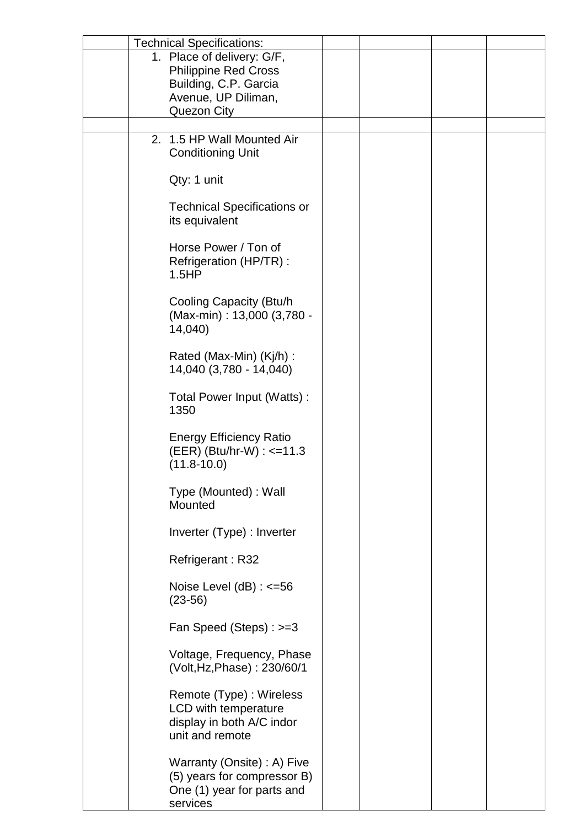| <b>Technical Specifications:</b>   |                             |  |  |
|------------------------------------|-----------------------------|--|--|
|                                    |                             |  |  |
| 1. Place of delivery: G/F,         |                             |  |  |
| <b>Philippine Red Cross</b>        |                             |  |  |
| Building, C.P. Garcia              |                             |  |  |
| Avenue, UP Diliman,                |                             |  |  |
| Quezon City                        |                             |  |  |
|                                    |                             |  |  |
| 2. 1.5 HP Wall Mounted Air         |                             |  |  |
| <b>Conditioning Unit</b>           |                             |  |  |
|                                    |                             |  |  |
| Qty: 1 unit                        |                             |  |  |
|                                    |                             |  |  |
| <b>Technical Specifications or</b> |                             |  |  |
| its equivalent                     |                             |  |  |
|                                    |                             |  |  |
| Horse Power / Ton of               |                             |  |  |
|                                    |                             |  |  |
| Refrigeration (HP/TR):             |                             |  |  |
| 1.5HP                              |                             |  |  |
|                                    |                             |  |  |
| Cooling Capacity (Btu/h            |                             |  |  |
|                                    | (Max-min): 13,000 (3,780 -  |  |  |
| 14,040)                            |                             |  |  |
|                                    |                             |  |  |
| Rated (Max-Min) (Kj/h) :           |                             |  |  |
| 14,040 (3,780 - 14,040)            |                             |  |  |
|                                    |                             |  |  |
| Total Power Input (Watts):         |                             |  |  |
| 1350                               |                             |  |  |
|                                    |                             |  |  |
| <b>Energy Efficiency Ratio</b>     |                             |  |  |
| (EER) (Btu/hr-W) : <=11.3          |                             |  |  |
| $(11.8 - 10.0)$                    |                             |  |  |
|                                    |                             |  |  |
| Type (Mounted) : Wall              |                             |  |  |
|                                    |                             |  |  |
| Mounted                            |                             |  |  |
|                                    |                             |  |  |
| Inverter (Type) : Inverter         |                             |  |  |
|                                    |                             |  |  |
| Refrigerant: R32                   |                             |  |  |
|                                    |                             |  |  |
| Noise Level $(dB)$ : $\leq$ =56    |                             |  |  |
| $(23-56)$                          |                             |  |  |
|                                    |                             |  |  |
| Fan Speed (Steps) : >=3            |                             |  |  |
|                                    |                             |  |  |
| Voltage, Frequency, Phase          |                             |  |  |
| (Volt, Hz, Phase): 230/60/1        |                             |  |  |
|                                    |                             |  |  |
| Remote (Type) : Wireless           |                             |  |  |
| LCD with temperature               |                             |  |  |
| display in both A/C indor          |                             |  |  |
| unit and remote                    |                             |  |  |
|                                    |                             |  |  |
|                                    |                             |  |  |
| Warranty (Onsite) : A) Five        |                             |  |  |
|                                    | (5) years for compressor B) |  |  |
| One (1) year for parts and         |                             |  |  |
| services                           |                             |  |  |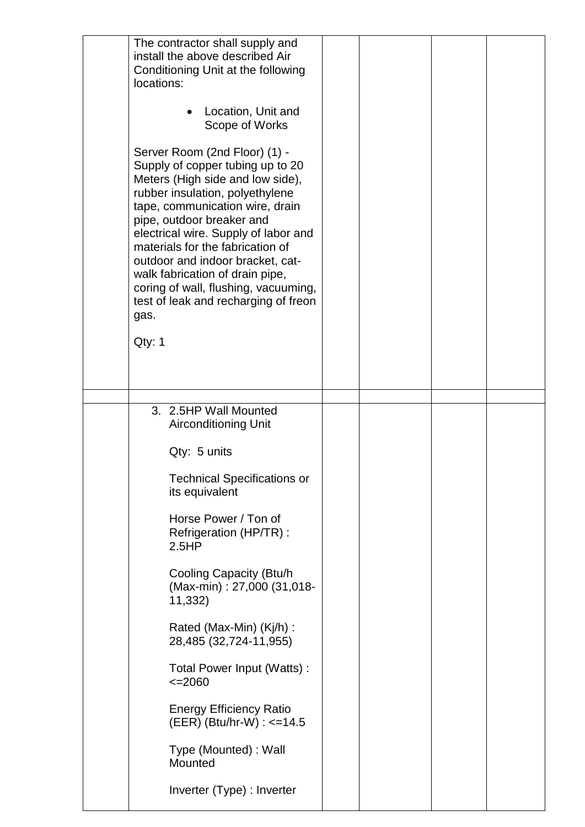| The contractor shall supply and<br>install the above described Air<br>Conditioning Unit at the following<br>locations:<br>Location, Unit and<br>Scope of Works<br>Server Room (2nd Floor) (1) -<br>Supply of copper tubing up to 20<br>Meters (High side and low side),<br>rubber insulation, polyethylene<br>tape, communication wire, drain<br>pipe, outdoor breaker and<br>electrical wire. Supply of labor and<br>materials for the fabrication of<br>outdoor and indoor bracket, cat-<br>walk fabrication of drain pipe,<br>coring of wall, flushing, vacuuming,<br>test of leak and recharging of freon<br>gas.<br>Qty: 1 |  |
|---------------------------------------------------------------------------------------------------------------------------------------------------------------------------------------------------------------------------------------------------------------------------------------------------------------------------------------------------------------------------------------------------------------------------------------------------------------------------------------------------------------------------------------------------------------------------------------------------------------------------------|--|
| 3. 2.5HP Wall Mounted<br><b>Airconditioning Unit</b>                                                                                                                                                                                                                                                                                                                                                                                                                                                                                                                                                                            |  |
| Qty: 5 units                                                                                                                                                                                                                                                                                                                                                                                                                                                                                                                                                                                                                    |  |
| <b>Technical Specifications or</b><br>its equivalent                                                                                                                                                                                                                                                                                                                                                                                                                                                                                                                                                                            |  |
| Horse Power / Ton of<br>Refrigeration (HP/TR) :<br>2.5HP                                                                                                                                                                                                                                                                                                                                                                                                                                                                                                                                                                        |  |
| Cooling Capacity (Btu/h<br>(Max-min): 27,000 (31,018-<br>11,332)                                                                                                                                                                                                                                                                                                                                                                                                                                                                                                                                                                |  |
| Rated (Max-Min) (Kj/h) :<br>28,485 (32,724-11,955)                                                                                                                                                                                                                                                                                                                                                                                                                                                                                                                                                                              |  |
| Total Power Input (Watts):<br>$\leq 2060$                                                                                                                                                                                                                                                                                                                                                                                                                                                                                                                                                                                       |  |
| <b>Energy Efficiency Ratio</b><br>$(EER)$ (Btu/hr-W) : $\leq$ =14.5                                                                                                                                                                                                                                                                                                                                                                                                                                                                                                                                                             |  |
| Type (Mounted) : Wall<br>Mounted                                                                                                                                                                                                                                                                                                                                                                                                                                                                                                                                                                                                |  |
| Inverter (Type) : Inverter                                                                                                                                                                                                                                                                                                                                                                                                                                                                                                                                                                                                      |  |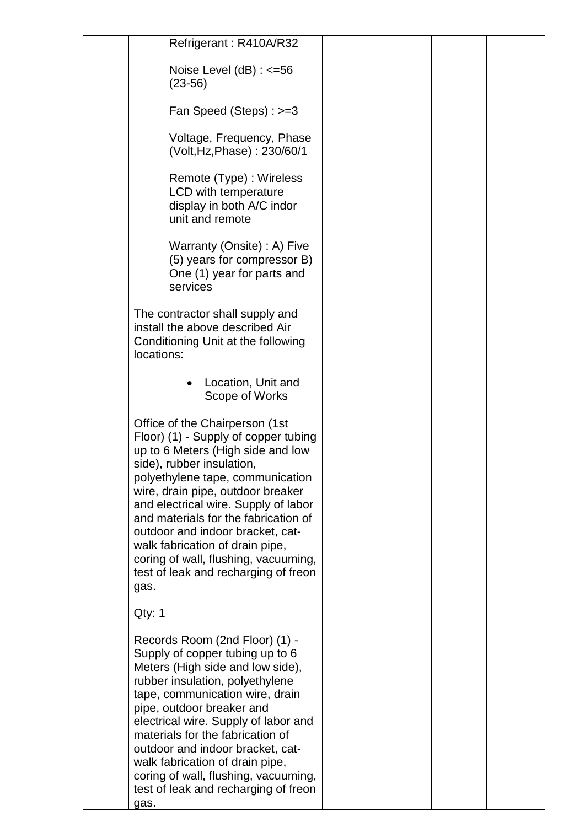| Refrigerant: R410A/R32                                                                                                                                                                                                                                                                                                                                                                                                                                           |  |  |
|------------------------------------------------------------------------------------------------------------------------------------------------------------------------------------------------------------------------------------------------------------------------------------------------------------------------------------------------------------------------------------------------------------------------------------------------------------------|--|--|
| Noise Level $(dB)$ : $\leq$ =56<br>$(23-56)$                                                                                                                                                                                                                                                                                                                                                                                                                     |  |  |
| Fan Speed (Steps) : >=3                                                                                                                                                                                                                                                                                                                                                                                                                                          |  |  |
| Voltage, Frequency, Phase<br>(Volt, Hz, Phase): 230/60/1                                                                                                                                                                                                                                                                                                                                                                                                         |  |  |
| Remote (Type) : Wireless<br>LCD with temperature<br>display in both A/C indor<br>unit and remote                                                                                                                                                                                                                                                                                                                                                                 |  |  |
| Warranty (Onsite) : A) Five<br>(5) years for compressor B)<br>One (1) year for parts and<br>services                                                                                                                                                                                                                                                                                                                                                             |  |  |
| The contractor shall supply and<br>install the above described Air<br>Conditioning Unit at the following<br>locations:                                                                                                                                                                                                                                                                                                                                           |  |  |
| Location, Unit and<br>Scope of Works                                                                                                                                                                                                                                                                                                                                                                                                                             |  |  |
| Office of the Chairperson (1st<br>Floor) (1) - Supply of copper tubing<br>up to 6 Meters (High side and low<br>side), rubber insulation,<br>polyethylene tape, communication<br>wire, drain pipe, outdoor breaker<br>and electrical wire. Supply of labor<br>and materials for the fabrication of<br>outdoor and indoor bracket, cat-<br>walk fabrication of drain pipe,<br>coring of wall, flushing, vacuuming,<br>test of leak and recharging of freon<br>gas. |  |  |
| Qty: 1                                                                                                                                                                                                                                                                                                                                                                                                                                                           |  |  |
| Records Room (2nd Floor) (1) -<br>Supply of copper tubing up to 6<br>Meters (High side and low side),<br>rubber insulation, polyethylene<br>tape, communication wire, drain<br>pipe, outdoor breaker and<br>electrical wire. Supply of labor and<br>materials for the fabrication of<br>outdoor and indoor bracket, cat-<br>walk fabrication of drain pipe,<br>coring of wall, flushing, vacuuming,<br>test of leak and recharging of freon<br>gas.              |  |  |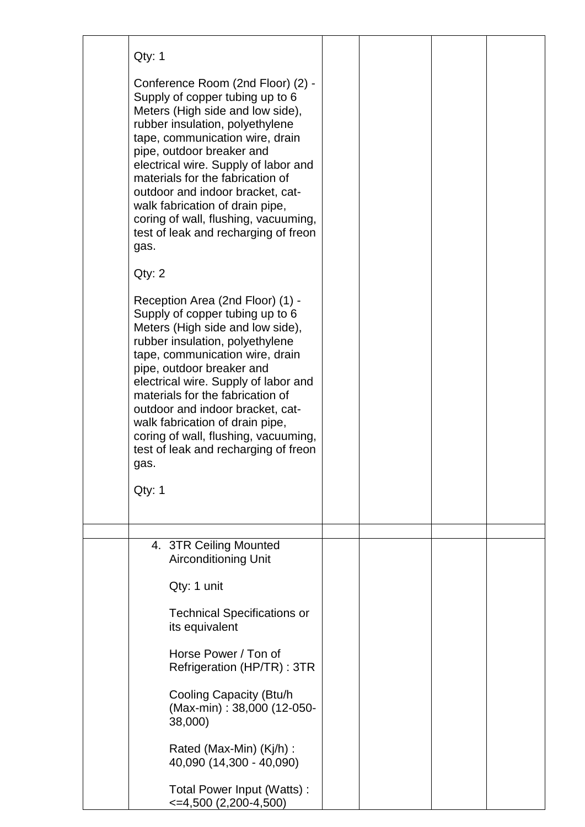| Qty: 1                                                                                                                                                                                                                                                                                                                                                                                                                                                          |  |  |
|-----------------------------------------------------------------------------------------------------------------------------------------------------------------------------------------------------------------------------------------------------------------------------------------------------------------------------------------------------------------------------------------------------------------------------------------------------------------|--|--|
| Conference Room (2nd Floor) (2) -<br>Supply of copper tubing up to 6<br>Meters (High side and low side),<br>rubber insulation, polyethylene<br>tape, communication wire, drain<br>pipe, outdoor breaker and<br>electrical wire. Supply of labor and<br>materials for the fabrication of<br>outdoor and indoor bracket, cat-<br>walk fabrication of drain pipe,<br>coring of wall, flushing, vacuuming,<br>test of leak and recharging of freon<br>gas.          |  |  |
| Qty: 2                                                                                                                                                                                                                                                                                                                                                                                                                                                          |  |  |
| Reception Area (2nd Floor) (1) -<br>Supply of copper tubing up to 6<br>Meters (High side and low side),<br>rubber insulation, polyethylene<br>tape, communication wire, drain<br>pipe, outdoor breaker and<br>electrical wire. Supply of labor and<br>materials for the fabrication of<br>outdoor and indoor bracket, cat-<br>walk fabrication of drain pipe,<br>coring of wall, flushing, vacuuming,<br>test of leak and recharging of freon<br>gas.<br>Qty: 1 |  |  |
|                                                                                                                                                                                                                                                                                                                                                                                                                                                                 |  |  |
| 4. 3TR Ceiling Mounted<br><b>Airconditioning Unit</b><br>Qty: 1 unit                                                                                                                                                                                                                                                                                                                                                                                            |  |  |
| <b>Technical Specifications or</b><br>its equivalent                                                                                                                                                                                                                                                                                                                                                                                                            |  |  |
| Horse Power / Ton of<br>Refrigeration (HP/TR) : 3TR                                                                                                                                                                                                                                                                                                                                                                                                             |  |  |
| Cooling Capacity (Btu/h)<br>(Max-min): 38,000 (12-050-<br>38,000)                                                                                                                                                                                                                                                                                                                                                                                               |  |  |
| Rated (Max-Min) (Kj/h) :<br>40,090 (14,300 - 40,090)                                                                                                                                                                                                                                                                                                                                                                                                            |  |  |
| Total Power Input (Watts):<br>$\leq$ =4,500 (2,200-4,500)                                                                                                                                                                                                                                                                                                                                                                                                       |  |  |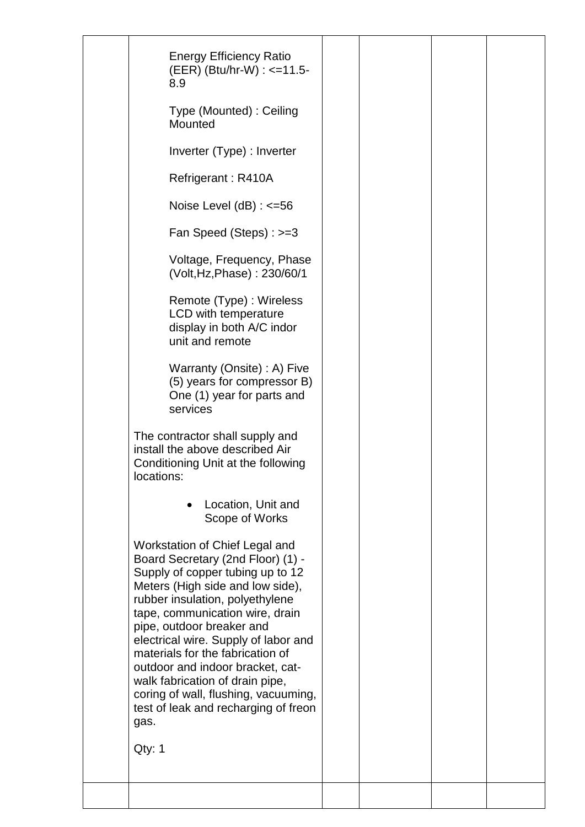| <b>Energy Efficiency Ratio</b><br>(EER) (Btu/hr-W) : <=11.5-<br>8.9                                                                                                                                                                                                                                                                                                                                                                                                                                 |  |  |
|-----------------------------------------------------------------------------------------------------------------------------------------------------------------------------------------------------------------------------------------------------------------------------------------------------------------------------------------------------------------------------------------------------------------------------------------------------------------------------------------------------|--|--|
| Type (Mounted): Ceiling<br>Mounted                                                                                                                                                                                                                                                                                                                                                                                                                                                                  |  |  |
| Inverter (Type) : Inverter                                                                                                                                                                                                                                                                                                                                                                                                                                                                          |  |  |
| Refrigerant: R410A                                                                                                                                                                                                                                                                                                                                                                                                                                                                                  |  |  |
| Noise Level $(dB)$ : $\leq$ =56                                                                                                                                                                                                                                                                                                                                                                                                                                                                     |  |  |
| Fan Speed (Steps) : >=3                                                                                                                                                                                                                                                                                                                                                                                                                                                                             |  |  |
| Voltage, Frequency, Phase<br>(Volt, Hz, Phase): 230/60/1                                                                                                                                                                                                                                                                                                                                                                                                                                            |  |  |
| Remote (Type) : Wireless<br>LCD with temperature<br>display in both A/C indor<br>unit and remote                                                                                                                                                                                                                                                                                                                                                                                                    |  |  |
| Warranty (Onsite) : A) Five<br>(5) years for compressor B)<br>One (1) year for parts and<br>services                                                                                                                                                                                                                                                                                                                                                                                                |  |  |
| The contractor shall supply and<br>install the above described Air<br>Conditioning Unit at the following<br>locations:                                                                                                                                                                                                                                                                                                                                                                              |  |  |
| Location, Unit and<br>Scope of Works                                                                                                                                                                                                                                                                                                                                                                                                                                                                |  |  |
| Workstation of Chief Legal and<br>Board Secretary (2nd Floor) (1) -<br>Supply of copper tubing up to 12<br>Meters (High side and low side),<br>rubber insulation, polyethylene<br>tape, communication wire, drain<br>pipe, outdoor breaker and<br>electrical wire. Supply of labor and<br>materials for the fabrication of<br>outdoor and indoor bracket, cat-<br>walk fabrication of drain pipe,<br>coring of wall, flushing, vacuuming,<br>test of leak and recharging of freon<br>gas.<br>Qty: 1 |  |  |
|                                                                                                                                                                                                                                                                                                                                                                                                                                                                                                     |  |  |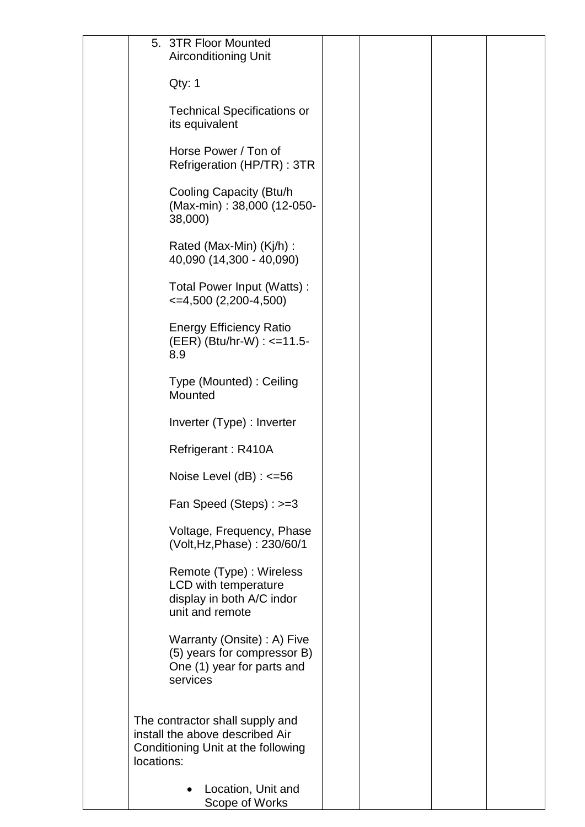|            | 5. 3TR Floor Mounted<br><b>Airconditioning Unit</b>                                                      |  |  |
|------------|----------------------------------------------------------------------------------------------------------|--|--|
|            | Qty: 1                                                                                                   |  |  |
|            | <b>Technical Specifications or</b><br>its equivalent                                                     |  |  |
|            | Horse Power / Ton of<br>Refrigeration (HP/TR) : 3TR                                                      |  |  |
|            | Cooling Capacity (Btu/h<br>(Max-min): 38,000 (12-050-<br>38,000)                                         |  |  |
|            | Rated (Max-Min) (Kj/h) :<br>40,090 (14,300 - 40,090)                                                     |  |  |
|            | Total Power Input (Watts):<br>$\leq$ 4,500 (2,200-4,500)                                                 |  |  |
|            | <b>Energy Efficiency Ratio</b><br>(EER) (Btu/hr-W) : <=11.5-<br>8.9                                      |  |  |
|            | Type (Mounted): Ceiling<br>Mounted                                                                       |  |  |
|            | Inverter (Type) : Inverter                                                                               |  |  |
|            | Refrigerant: R410A                                                                                       |  |  |
|            | Noise Level $(dB)$ : $\leq$ =56                                                                          |  |  |
|            | Fan Speed (Steps) : >=3                                                                                  |  |  |
|            | Voltage, Frequency, Phase<br>(Volt, Hz, Phase): 230/60/1                                                 |  |  |
|            | Remote (Type) : Wireless<br>LCD with temperature<br>display in both A/C indor<br>unit and remote         |  |  |
|            | Warranty (Onsite) : A) Five<br>(5) years for compressor B)<br>One (1) year for parts and<br>services     |  |  |
| locations: | The contractor shall supply and<br>install the above described Air<br>Conditioning Unit at the following |  |  |
|            | Location, Unit and<br>Scope of Works                                                                     |  |  |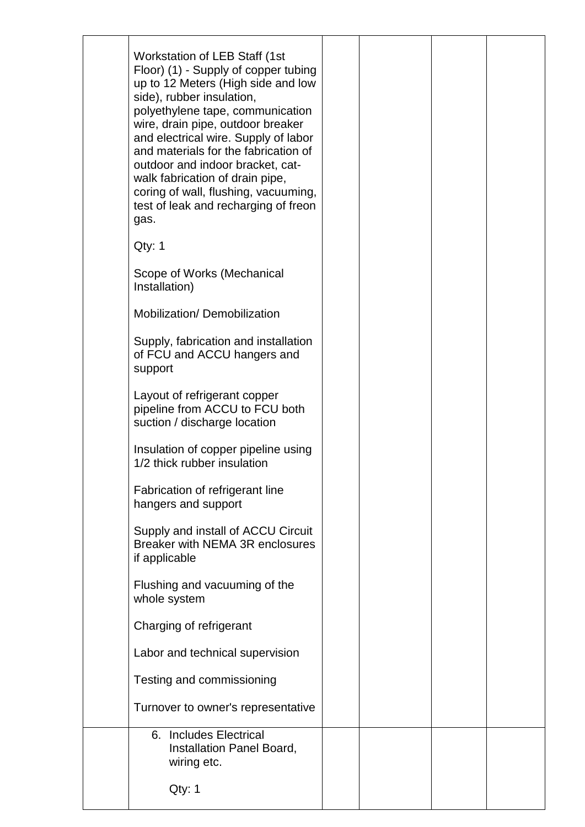| Workstation of LEB Staff (1st)<br>Floor) (1) - Supply of copper tubing<br>up to 12 Meters (High side and low<br>side), rubber insulation,<br>polyethylene tape, communication<br>wire, drain pipe, outdoor breaker<br>and electrical wire. Supply of labor<br>and materials for the fabrication of<br>outdoor and indoor bracket, cat-<br>walk fabrication of drain pipe,<br>coring of wall, flushing, vacuuming,<br>test of leak and recharging of freon<br>gas. |  |  |
|-------------------------------------------------------------------------------------------------------------------------------------------------------------------------------------------------------------------------------------------------------------------------------------------------------------------------------------------------------------------------------------------------------------------------------------------------------------------|--|--|
| Qty: 1                                                                                                                                                                                                                                                                                                                                                                                                                                                            |  |  |
| Scope of Works (Mechanical<br>Installation)                                                                                                                                                                                                                                                                                                                                                                                                                       |  |  |
| Mobilization/Demobilization                                                                                                                                                                                                                                                                                                                                                                                                                                       |  |  |
| Supply, fabrication and installation<br>of FCU and ACCU hangers and<br>support                                                                                                                                                                                                                                                                                                                                                                                    |  |  |
| Layout of refrigerant copper<br>pipeline from ACCU to FCU both<br>suction / discharge location                                                                                                                                                                                                                                                                                                                                                                    |  |  |
| Insulation of copper pipeline using<br>1/2 thick rubber insulation                                                                                                                                                                                                                                                                                                                                                                                                |  |  |
| Fabrication of refrigerant line<br>hangers and support                                                                                                                                                                                                                                                                                                                                                                                                            |  |  |
| Supply and install of ACCU Circuit<br>Breaker with NEMA 3R enclosures<br>if applicable                                                                                                                                                                                                                                                                                                                                                                            |  |  |
| Flushing and vacuuming of the<br>whole system                                                                                                                                                                                                                                                                                                                                                                                                                     |  |  |
| Charging of refrigerant                                                                                                                                                                                                                                                                                                                                                                                                                                           |  |  |
| Labor and technical supervision                                                                                                                                                                                                                                                                                                                                                                                                                                   |  |  |
| Testing and commissioning                                                                                                                                                                                                                                                                                                                                                                                                                                         |  |  |
| Turnover to owner's representative                                                                                                                                                                                                                                                                                                                                                                                                                                |  |  |
| 6. Includes Electrical<br>Installation Panel Board,<br>wiring etc.<br>Qty: 1                                                                                                                                                                                                                                                                                                                                                                                      |  |  |